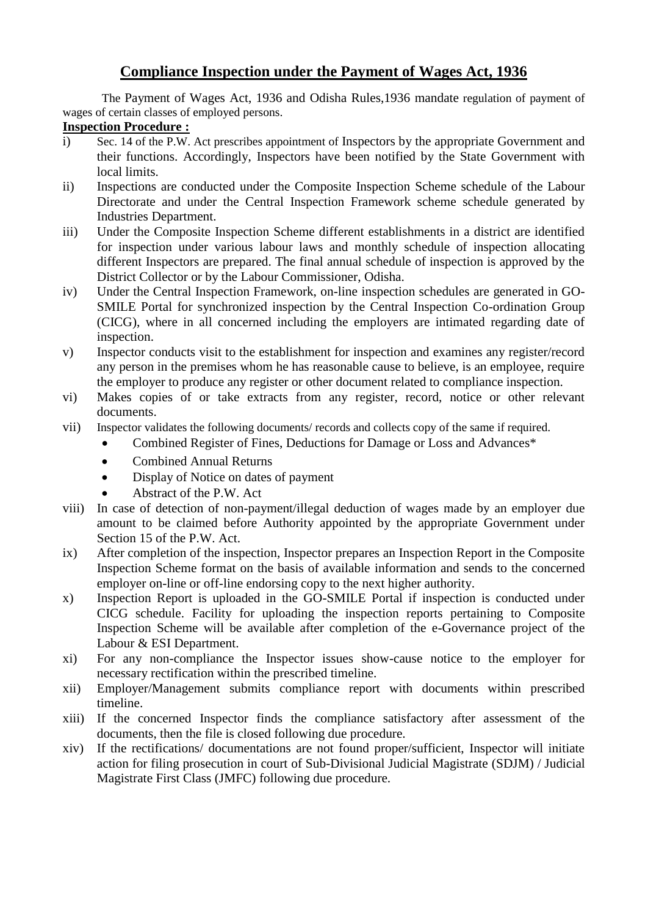## **Compliance Inspection under the Payment of Wages Act, 1936**

The Payment of Wages Act, 1936 and Odisha Rules,1936 mandate regulation of payment of wages of certain classes of employed persons.

## **Inspection Procedure :**

- i) Sec. 14 of the P.W. Act prescribes appointment of Inspectors by the appropriate Government and their functions. Accordingly, Inspectors have been notified by the State Government with local limits.
- ii) Inspections are conducted under the Composite Inspection Scheme schedule of the Labour Directorate and under the Central Inspection Framework scheme schedule generated by Industries Department.
- iii) Under the Composite Inspection Scheme different establishments in a district are identified for inspection under various labour laws and monthly schedule of inspection allocating different Inspectors are prepared. The final annual schedule of inspection is approved by the District Collector or by the Labour Commissioner, Odisha.
- iv) Under the Central Inspection Framework, on-line inspection schedules are generated in GO-SMILE Portal for synchronized inspection by the Central Inspection Co-ordination Group (CICG), where in all concerned including the employers are intimated regarding date of inspection.
- v) Inspector conducts visit to the establishment for inspection and examines any register/record any person in the premises whom he has reasonable cause to believe, is an employee, require the employer to produce any register or other document related to compliance inspection.
- vi) Makes copies of or take extracts from any register, record, notice or other relevant documents.
- vii) Inspector validates the following documents/ records and collects copy of the same if required.
	- Combined Register of Fines, Deductions for Damage or Loss and Advances\*
	- Combined Annual Returns
	- Display of Notice on dates of payment
	- Abstract of the P.W. Act
- viii) In case of detection of non-payment/illegal deduction of wages made by an employer due amount to be claimed before Authority appointed by the appropriate Government under Section 15 of the P.W. Act.
- ix) After completion of the inspection, Inspector prepares an Inspection Report in the Composite Inspection Scheme format on the basis of available information and sends to the concerned employer on-line or off-line endorsing copy to the next higher authority.
- x) Inspection Report is uploaded in the GO-SMILE Portal if inspection is conducted under CICG schedule. Facility for uploading the inspection reports pertaining to Composite Inspection Scheme will be available after completion of the e-Governance project of the Labour & ESI Department.
- xi) For any non-compliance the Inspector issues show-cause notice to the employer for necessary rectification within the prescribed timeline.
- xii) Employer/Management submits compliance report with documents within prescribed timeline.
- xiii) If the concerned Inspector finds the compliance satisfactory after assessment of the documents, then the file is closed following due procedure.
- xiv) If the rectifications/ documentations are not found proper/sufficient, Inspector will initiate action for filing prosecution in court of Sub-Divisional Judicial Magistrate (SDJM) / Judicial Magistrate First Class (JMFC) following due procedure.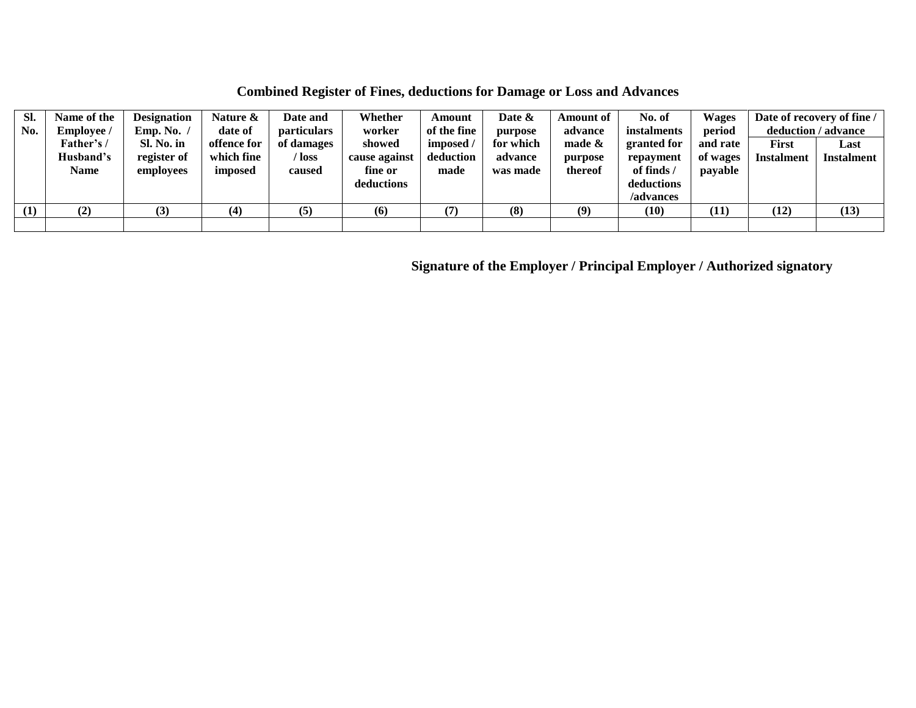**Combined Register of Fines, deductions for Damage or Loss and Advances**

| Sl.<br>No. | Name of the<br><b>Employee</b> / | <b>Designation</b><br>Emp. No. | Nature &<br>date of   | Date and<br><b>particulars</b> | Whether<br>worker        | Amount<br>of the fine | Date &<br>purpose   | <b>Amount of</b><br>advance | No. of<br>instalments   | <b>Wages</b><br>period | Date of recovery of fine /<br>deduction / advance |                   |
|------------|----------------------------------|--------------------------------|-----------------------|--------------------------------|--------------------------|-----------------------|---------------------|-----------------------------|-------------------------|------------------------|---------------------------------------------------|-------------------|
|            | Father's /                       | Sl. No. in                     | offence for           | of damages                     | showed                   | imposed /             | for which           | made $\&$                   | granted for             | and rate               | <b>First</b>                                      | Last              |
|            | Husband's<br><b>Name</b>         | register of<br>employees       | which fine<br>imposed | / loss<br>caused               | cause against<br>fine or | deduction<br>made     | advance<br>was made | purpose<br>thereof          | repayment<br>of finds / | of wages<br>payable    | <b>Instalment</b>                                 | <b>Instalment</b> |
|            |                                  |                                |                       |                                | deductions               |                       |                     |                             | deductions<br>/advances |                        |                                                   |                   |
| (1)        | $\bf(2)$                         | (3)                            | (4)                   | (5)                            | (6)                      | (7                    | (8)                 | (9)                         | (10)                    | (11)                   | (12)                                              | (13)              |
|            |                                  |                                |                       |                                |                          |                       |                     |                             |                         |                        |                                                   |                   |

**Signature of the Employer / Principal Employer / Authorized signatory**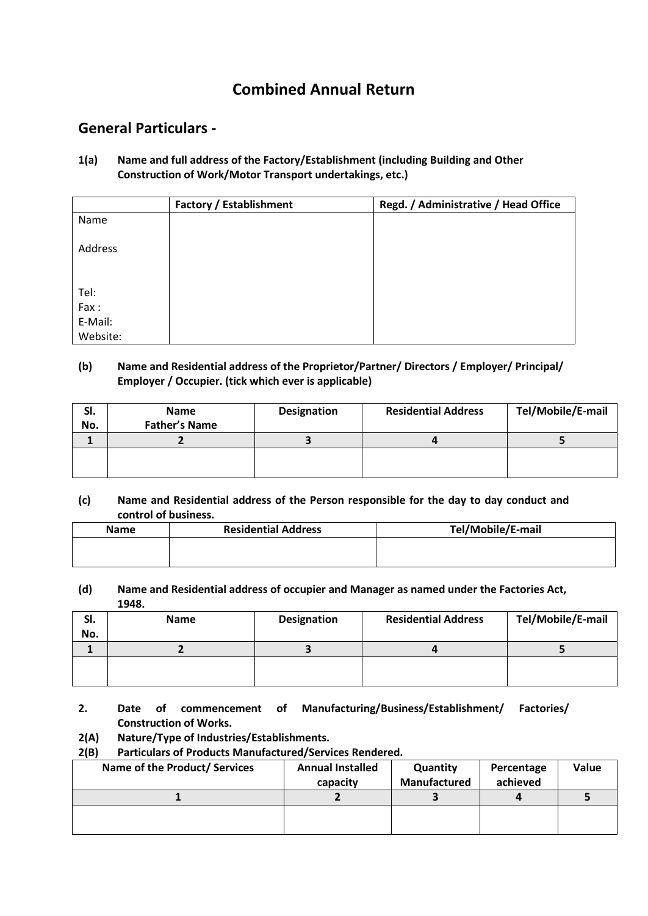# **Combined Annual Return**

## **General Particulars -**

**1(a) Name and full address of the Factory/Establishment (including Building and Other Construction of Work/Motor Transport undertakings, etc.)**

|          | <b>Factory / Establishment</b> | Regd. / Administrative / Head Office |
|----------|--------------------------------|--------------------------------------|
| Name     |                                |                                      |
|          |                                |                                      |
| Address  |                                |                                      |
|          |                                |                                      |
|          |                                |                                      |
| Tel:     |                                |                                      |
| Fax:     |                                |                                      |
| E-Mail:  |                                |                                      |
| Website: |                                |                                      |

## **(b) Name and Residential address of the Proprietor/Partner/ Directors / Employer/ Principal/ Employer / Occupier. (tick which ever is applicable)**

| SI.<br>No. | <b>Name</b><br><b>Father's Name</b> | Designation | <b>Residential Address</b> | Tel/Mobile/E-mail |
|------------|-------------------------------------|-------------|----------------------------|-------------------|
|            |                                     |             |                            |                   |
|            |                                     |             |                            |                   |

### **(c) Name and Residential address of the Person responsible for the day to day conduct and control of business.**

| <b>Name</b> | <b>Residential Address</b> | Tel/Mobile/E-mail |
|-------------|----------------------------|-------------------|
|             |                            |                   |
|             |                            |                   |

#### **(d) Name and Residential address of occupier and Manager as named under the Factories Act, 1948.**

| SI.<br>No. | <b>Name</b> | <b>Designation</b> | <b>Residential Address</b> | Tel/Mobile/E-mail |
|------------|-------------|--------------------|----------------------------|-------------------|
|            |             |                    |                            |                   |
|            |             |                    |                            |                   |
|            |             |                    |                            |                   |

**2. Date of commencement of Manufacturing/Business/Establishment/ Factories/ Construction of Works.**

## **2(A) Nature/Type of Industries/Establishments.**

#### **2(B) Particulars of Products Manufactured/Services Rendered.**

| Name of the Product/ Services | <b>Annual Installed</b> | Quantity     | Percentage | Value |
|-------------------------------|-------------------------|--------------|------------|-------|
|                               | capacity                | Manufactured | achieved   |       |
|                               |                         |              |            |       |
|                               |                         |              |            |       |
|                               |                         |              |            |       |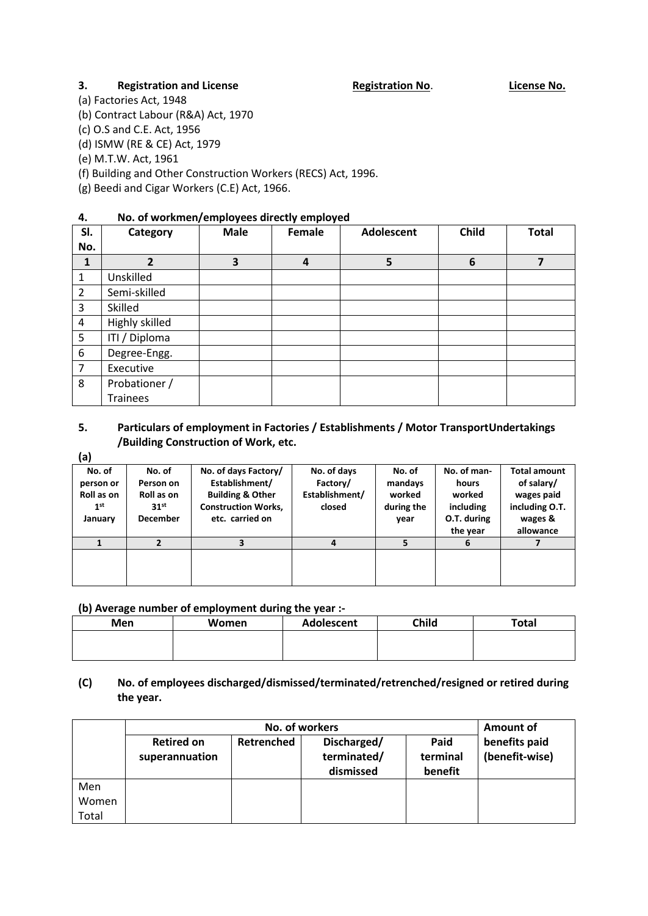#### **3. Registration and License Registration No. License No. License No.**

(a) Factories Act, 1948

(b) Contract Labour (R&A) Act, 1970

(c) O.S and C.E. Act, 1956

(d) ISMW (RE & CE) Act, 1979

(e) M.T.W. Act, 1961

(f) Building and Other Construction Workers (RECS) Act, 1996.

(g) Beedi and Cigar Workers (C.E) Act, 1966.

## **4. No. of workmen/employees directly employed**

| SI.            | Category        | <b>Male</b> | Female | <b>Adolescent</b> | <b>Child</b> | <b>Total</b> |
|----------------|-----------------|-------------|--------|-------------------|--------------|--------------|
| No.            |                 |             |        |                   |              |              |
| $\mathbf{1}$   | 2               | 3           | 4      | 5                 | 6            | 7            |
| 1              | Unskilled       |             |        |                   |              |              |
| $\overline{2}$ | Semi-skilled    |             |        |                   |              |              |
| 3              | Skilled         |             |        |                   |              |              |
| $\overline{4}$ | Highly skilled  |             |        |                   |              |              |
| 5              | ITI / Diploma   |             |        |                   |              |              |
| 6              | Degree-Engg.    |             |        |                   |              |              |
| $\overline{7}$ | Executive       |             |        |                   |              |              |
| 8              | Probationer /   |             |        |                   |              |              |
|                | <b>Trainees</b> |             |        |                   |              |              |

## **5. Particulars of employment in Factories / Establishments / Motor TransportUndertakings /Building Construction of Work, etc.**

**(a)**

| No. of          | No. of           | No. of days Factory/        | No. of days    | No. of     | No. of man- | <b>Total amount</b> |
|-----------------|------------------|-----------------------------|----------------|------------|-------------|---------------------|
| person or       | Person on        | Establishment/              | Factory/       | mandays    | hours       | of salary/          |
| Roll as on      | Roll as on       | <b>Building &amp; Other</b> | Establishment/ | worked     | worked      | wages paid          |
| 1 <sup>st</sup> | 31 <sup>st</sup> | <b>Construction Works,</b>  | closed         | during the | including   | including O.T.      |
| January         | <b>December</b>  | etc. carried on             |                | year       | O.T. during | wages &             |
|                 |                  |                             |                |            | the year    | allowance           |
|                 |                  |                             | 4              |            | 6           |                     |
|                 |                  |                             |                |            |             |                     |
|                 |                  |                             |                |            |             |                     |
|                 |                  |                             |                |            |             |                     |

#### **(b) Average number of employment during the year :-**

| <b>Men</b> | Women | <b>Adolescent</b> | <b>Child</b> | <b>Total</b> |
|------------|-------|-------------------|--------------|--------------|
|            |       |                   |              |              |
|            |       |                   |              |              |

### **(C) No. of employees discharged/dismissed/terminated/retrenched/resigned or retired during the year.**

|                |                                     | Amount of  |                                         |                             |                                 |  |
|----------------|-------------------------------------|------------|-----------------------------------------|-----------------------------|---------------------------------|--|
|                | <b>Retired on</b><br>superannuation | Retrenched | Discharged/<br>terminated/<br>dismissed | Paid<br>terminal<br>benefit | benefits paid<br>(benefit-wise) |  |
| Men            |                                     |            |                                         |                             |                                 |  |
| Women<br>Total |                                     |            |                                         |                             |                                 |  |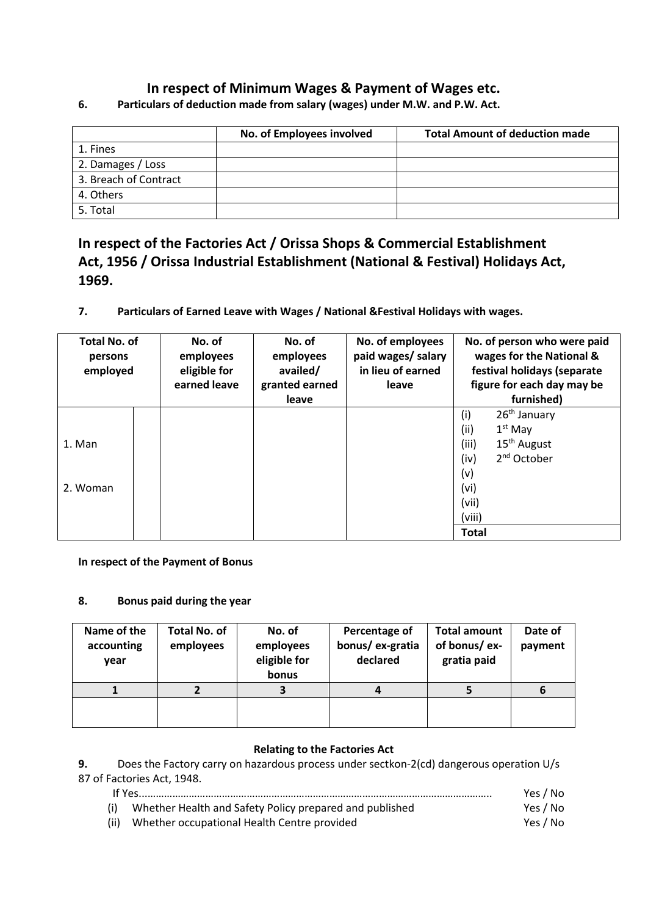## **In respect of Minimum Wages & Payment of Wages etc.**

|                       | No. of Employees involved | <b>Total Amount of deduction made</b> |
|-----------------------|---------------------------|---------------------------------------|
| 1. Fines              |                           |                                       |
| 2. Damages / Loss     |                           |                                       |
| 3. Breach of Contract |                           |                                       |
| 4. Others             |                           |                                       |
| 5. Total              |                           |                                       |

**6. Particulars of deduction made from salary (wages) under M.W. and P.W. Act.** 

# **In respect of the Factories Act / Orissa Shops & Commercial Establishment Act, 1956 / Orissa Industrial Establishment (National & Festival) Holidays Act, 1969.**

**7. Particulars of Earned Leave with Wages / National &Festival Holidays with wages.**

| <b>Total No. of</b><br>persons<br>employed | No. of<br>employees<br>eligible for<br>earned leave | No. of<br>employees<br>availed/<br>granted earned<br>leave | No. of employees<br>paid wages/ salary<br>in lieu of earned<br>leave | No. of person who were paid<br>wages for the National &<br>festival holidays (separate<br>figure for each day may be<br>furnished)                                  |
|--------------------------------------------|-----------------------------------------------------|------------------------------------------------------------|----------------------------------------------------------------------|---------------------------------------------------------------------------------------------------------------------------------------------------------------------|
| 1. Man<br>2. Woman                         |                                                     |                                                            |                                                                      | $26th$ January<br>(i)<br>(ii)<br>$1st$ May<br>15 <sup>th</sup> August<br>(iii)<br>2 <sup>nd</sup> October<br>(iv)<br>(v)<br>(vi)<br>(vii)<br>(viii)<br><b>Total</b> |

#### **In respect of the Payment of Bonus**

#### **8. Bonus paid during the year**

| Name of the<br>accounting<br>year | <b>Total No. of</b><br>employees | No. of<br>employees<br>eligible for<br>bonus | Percentage of<br>bonus/ex-gratia<br>declared | <b>Total amount</b><br>of bonus/ex-<br>gratia paid | Date of<br>payment |
|-----------------------------------|----------------------------------|----------------------------------------------|----------------------------------------------|----------------------------------------------------|--------------------|
|                                   |                                  |                                              |                                              |                                                    | 6                  |
|                                   |                                  |                                              |                                              |                                                    |                    |

#### **Relating to the Factories Act**

**9.** Does the Factory carry on hazardous process under sectkon-2(cd) dangerous operation U/s 87 of Factories Act, 1948.

|     |                                                         | Yes / No |
|-----|---------------------------------------------------------|----------|
| (i) | Whether Health and Safety Policy prepared and published | Yes / No |

(ii) Whether occupational Health Centre provided Yes / No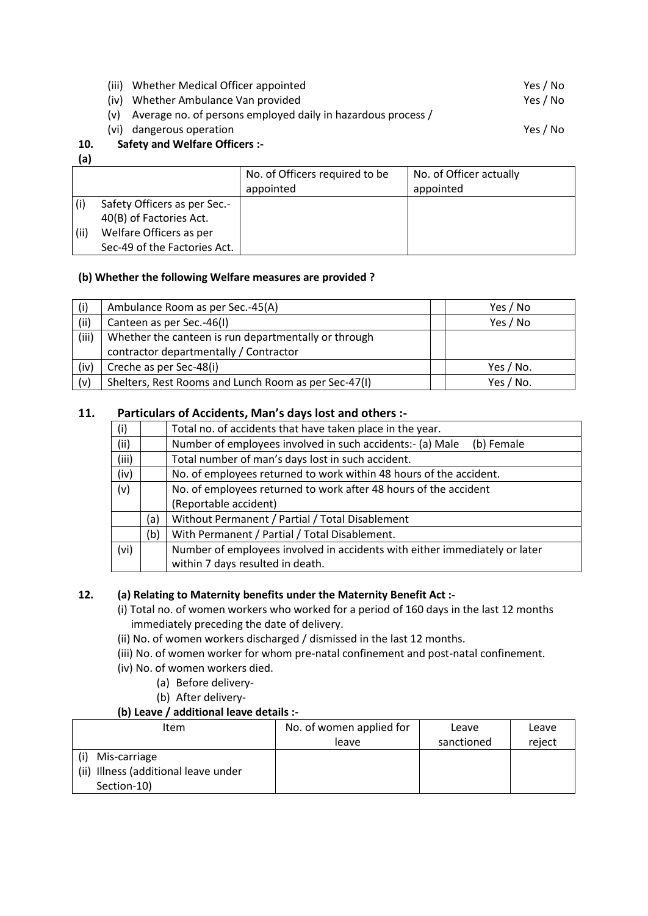(iii) Whether Medical Officer appointed Ves / No

(iv) Whether Ambulance Van provided Ves / No

(v) Average no. of persons employed daily in hazardous process /

(vi) dangerous operation Yes / No

## **10. Safety and Welfare Officers :-**

**(a)**

|      |                                                         | No. of Officers required to be<br>appointed | No. of Officer actually<br>appointed |
|------|---------------------------------------------------------|---------------------------------------------|--------------------------------------|
|      | Safety Officers as per Sec.-<br>40(B) of Factories Act. |                                             |                                      |
| (ii) | Welfare Officers as per<br>Sec-49 of the Factories Act. |                                             |                                      |

## **(b) Whether the following Welfare measures are provided ?**

| (i)   | Ambulance Room as per Sec.-45(A)                     | Yes / No  |
|-------|------------------------------------------------------|-----------|
| (ii)  | Canteen as per Sec.-46(I)                            | Yes / No  |
| (iii) | Whether the canteen is run departmentally or through |           |
|       | contractor departmentally / Contractor               |           |
| (iv)  | Creche as per Sec-48(i)                              | Yes / No. |
| (v)   | Shelters, Rest Rooms and Lunch Room as per Sec-47(I) | Yes / No. |

## **11. Particulars of Accidents, Man's days lost and others :-**

| (i)   |     | Total no. of accidents that have taken place in the year.                  |
|-------|-----|----------------------------------------------------------------------------|
| (ii)  |     | Number of employees involved in such accidents:- (a) Male<br>(b) Female    |
| (iii) |     | Total number of man's days lost in such accident.                          |
| (iv)  |     | No. of employees returned to work within 48 hours of the accident.         |
| (v)   |     | No. of employees returned to work after 48 hours of the accident           |
|       |     | (Reportable accident)                                                      |
|       | (a) | Without Permanent / Partial / Total Disablement                            |
|       | (b) | With Permanent / Partial / Total Disablement.                              |
| (vi)  |     | Number of employees involved in accidents with either immediately or later |
|       |     | within 7 days resulted in death.                                           |

## **12. (a) Relating to Maternity benefits under the Maternity Benefit Act :-**

- (i) Total no. of women workers who worked for a period of 160 days in the last 12 months immediately preceding the date of delivery.
- (ii) No. of women workers discharged / dismissed in the last 12 months.
- (iii) No. of women worker for whom pre-natal confinement and post-natal confinement.
- (iv) No. of women workers died.
	- (a) Before delivery-
		- (b) After delivery-

## **(b) Leave / additional leave details :-**

| Item                                                                | No. of women applied for | Leave      | Leave  |
|---------------------------------------------------------------------|--------------------------|------------|--------|
|                                                                     | leave                    | sanctioned | reject |
| Mis-carriage<br>(ii) Illness (additional leave under<br>Section-10) |                          |            |        |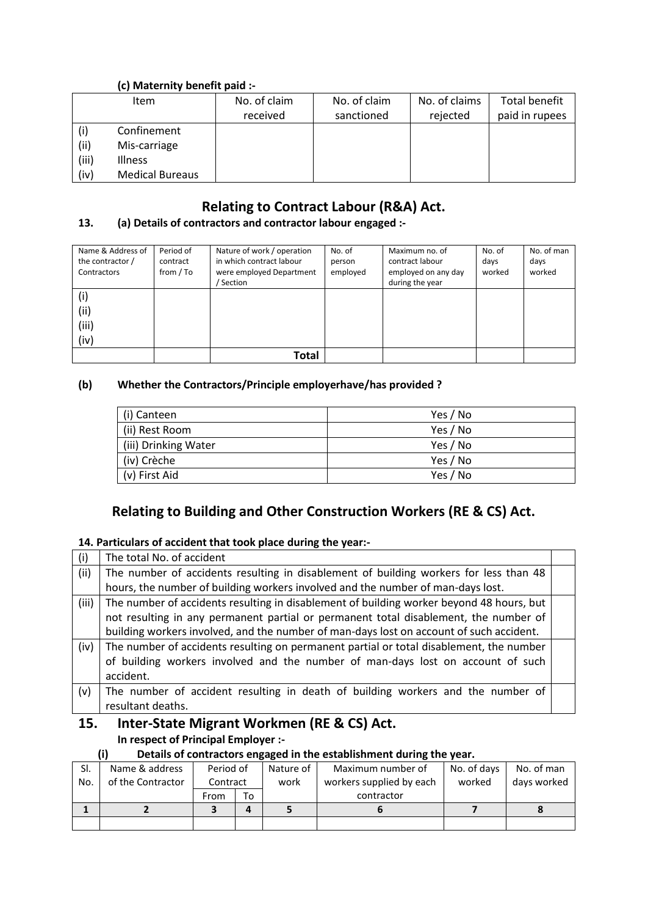## **(c) Maternity benefit paid :-**

|       | <b>Item</b>            | No. of claim | No. of claim | No. of claims | Total benefit  |
|-------|------------------------|--------------|--------------|---------------|----------------|
|       |                        | received     | sanctioned   | rejected      | paid in rupees |
| (i)   | Confinement            |              |              |               |                |
| (ii)  | Mis-carriage           |              |              |               |                |
| (iii) | <b>Illness</b>         |              |              |               |                |
| (iv)  | <b>Medical Bureaus</b> |              |              |               |                |

## **Relating to Contract Labour (R&A) Act.**

# **13. (a) Details of contractors and contractor labour engaged :-**

| Name & Address of<br>the contractor /<br>Contractors | Period of<br>contract<br>from / To | Nature of work / operation<br>in which contract labour<br>were employed Department<br>' Section | No. of<br>person<br>employed | Maximum no. of<br>contract labour<br>employed on any day<br>during the year | No. of<br>days<br>worked | No. of man<br>days<br>worked |
|------------------------------------------------------|------------------------------------|-------------------------------------------------------------------------------------------------|------------------------------|-----------------------------------------------------------------------------|--------------------------|------------------------------|
| (i)<br>(iii)<br>(iii)<br>(iv)                        |                                    |                                                                                                 |                              |                                                                             |                          |                              |
|                                                      |                                    | Total                                                                                           |                              |                                                                             |                          |                              |

#### **(b) Whether the Contractors/Principle employerhave/has provided ?**

| (i) Canteen          | Yes / No |
|----------------------|----------|
| (ii) Rest Room       | Yes / No |
| (iii) Drinking Water | Yes / No |
| (iv) Crèche          | Yes / No |
| (v) First Aid        | Yes / No |

## **Relating to Building and Other Construction Workers (RE & CS) Act.**

#### **14. Particulars of accident that took place during the year:-**

| (i)   | The total No. of accident                                                                |  |  |  |  |  |
|-------|------------------------------------------------------------------------------------------|--|--|--|--|--|
| (ii)  | The number of accidents resulting in disablement of building workers for less than 48    |  |  |  |  |  |
|       | hours, the number of building workers involved and the number of man-days lost.          |  |  |  |  |  |
| (iii) | The number of accidents resulting in disablement of building worker beyond 48 hours, but |  |  |  |  |  |
|       | not resulting in any permanent partial or permanent total disablement, the number of     |  |  |  |  |  |
|       | building workers involved, and the number of man-days lost on account of such accident.  |  |  |  |  |  |
| (iv)  | The number of accidents resulting on permanent partial or total disablement, the number  |  |  |  |  |  |
|       | of building workers involved and the number of man-days lost on account of such          |  |  |  |  |  |
|       | accident.                                                                                |  |  |  |  |  |
| (v)   | The number of accident resulting in death of building workers and the number of          |  |  |  |  |  |
|       | resultant deaths.                                                                        |  |  |  |  |  |
| 15.   | Inter-State Migrant Workmen (RE & CS) Act.                                               |  |  |  |  |  |

**In respect of Principal Employer :-**

#### **(i) Details of contractors engaged in the establishment during the year.**

| SI. | Name & address    | Period of |    | Nature of | Maximum number of        | No. of days | No. of man  |
|-----|-------------------|-----------|----|-----------|--------------------------|-------------|-------------|
| No. | of the Contractor | Contract  |    | work      | workers supplied by each | worked      | days worked |
|     |                   | From      | To |           | contractor               |             |             |
|     |                   |           | Д  |           |                          |             |             |
|     |                   |           |    |           |                          |             |             |